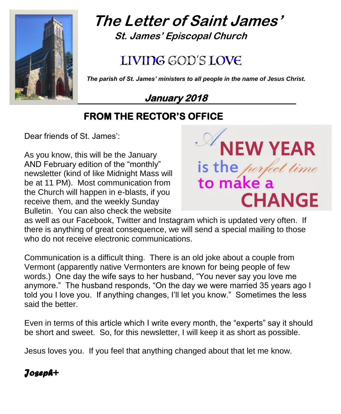

# **The Letter of Saint James' St. James' Episcopal Church**

# LIVIDG GOD'S LOVE

 *The parish of St. James' ministers to all people in the name of Jesus Christ.*

**January 2018** 

# **FROM THE RECTOR'S OFFICE**

Dear friends of St. James':

As you know, this will be the January AND February edition of the "monthly" newsletter (kind of like Midnight Mass will be at 11 PM). Most communication from the Church will happen in e-blasts, if you receive them, and the weekly Sunday Bulletin. You can also check the website



as well as our Facebook, Twitter and Instagram which is updated very often. If there is anything of great consequence, we will send a special mailing to those who do not receive electronic communications.

Communication is a difficult thing. There is an old joke about a couple from Vermont (apparently native Vermonters are known for being people of few words.) One day the wife says to her husband, "You never say you love me anymore." The husband responds, "On the day we were married 35 years ago I told you I love you. If anything changes, I'll let you know." Sometimes the less said the better.

Even in terms of this article which I write every month, the "experts" say it should be short and sweet. So, for this newsletter, I will keep it as short as possible.

Jesus loves you. If you feel that anything changed about that let me know.

# *Joseph+*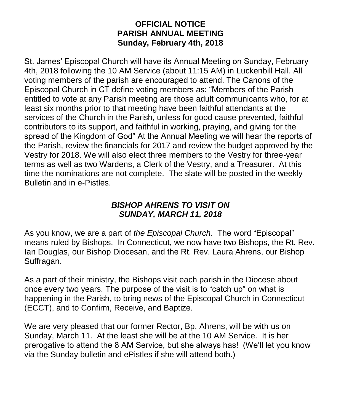#### **OFFICIAL NOTICE PARISH ANNUAL MEETING Sunday, February 4th, 2018**

St. James' Episcopal Church will have its Annual Meeting on Sunday, February 4th, 2018 following the 10 AM Service (about 11:15 AM) in Luckenbill Hall. All voting members of the parish are encouraged to attend. The Canons of the Episcopal Church in CT define voting members as: "Members of the Parish entitled to vote at any Parish meeting are those adult communicants who, for at least six months prior to that meeting have been faithful attendants at the services of the Church in the Parish, unless for good cause prevented, faithful contributors to its support, and faithful in working, praying, and giving for the spread of the Kingdom of God" At the Annual Meeting we will hear the reports of the Parish, review the financials for 2017 and review the budget approved by the Vestry for 2018. We will also elect three members to the Vestry for three-year terms as well as two Wardens, a Clerk of the Vestry, and a Treasurer. At this time the nominations are not complete. The slate will be posted in the weekly Bulletin and in e-Pistles.

#### *BISHOP AHRENS TO VISIT ON SUNDAY, MARCH 11, 2018*

As you know, we are a part of *the Episcopal Church*. The word "Episcopal" means ruled by Bishops. In Connecticut, we now have two Bishops, the Rt. Rev. Ian Douglas, our Bishop Diocesan, and the Rt. Rev. Laura Ahrens, our Bishop Suffragan.

As a part of their ministry, the Bishops visit each parish in the Diocese about once every two years. The purpose of the visit is to "catch up" on what is happening in the Parish, to bring news of the Episcopal Church in Connecticut (ECCT), and to Confirm, Receive, and Baptize.

We are very pleased that our former Rector, Bp. Ahrens, will be with us on Sunday, March 11. At the least she will be at the 10 AM Service. It is her prerogative to attend the 8 AM Service, but she always has! (We'll let you know via the Sunday bulletin and ePistles if she will attend both.)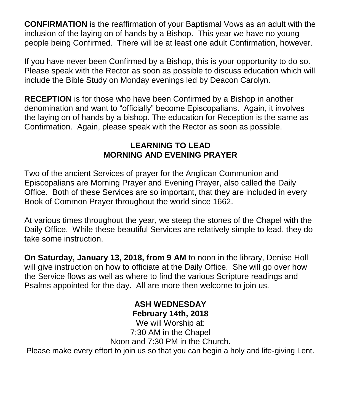**CONFIRMATION** is the reaffirmation of your Baptismal Vows as an adult with the inclusion of the laying on of hands by a Bishop. This year we have no young people being Confirmed. There will be at least one adult Confirmation, however.

If you have never been Confirmed by a Bishop, this is your opportunity to do so. Please speak with the Rector as soon as possible to discuss education which will include the Bible Study on Monday evenings led by Deacon Carolyn.

**RECEPTION** is for those who have been Confirmed by a Bishop in another denomination and want to "officially" become Episcopalians. Again, it involves the laying on of hands by a bishop. The education for Reception is the same as Confirmation. Again, please speak with the Rector as soon as possible.

## **LEARNING TO LEAD MORNING AND EVENING PRAYER**

Two of the ancient Services of prayer for the Anglican Communion and Episcopalians are Morning Prayer and Evening Prayer, also called the Daily Office. Both of these Services are so important, that they are included in every Book of Common Prayer throughout the world since 1662.

At various times throughout the year, we steep the stones of the Chapel with the Daily Office. While these beautiful Services are relatively simple to lead, they do take some instruction.

**On Saturday, January 13, 2018, from 9 AM** to noon in the library, Denise Holl will give instruction on how to officiate at the Daily Office. She will go over how the Service flows as well as where to find the various Scripture readings and Psalms appointed for the day. All are more then welcome to join us.

#### **ASH WEDNESDAY February 14th, 2018**

We will Worship at: 7:30 AM in the Chapel Noon and 7:30 PM in the Church.

Please make every effort to join us so that you can begin a holy and life-giving Lent.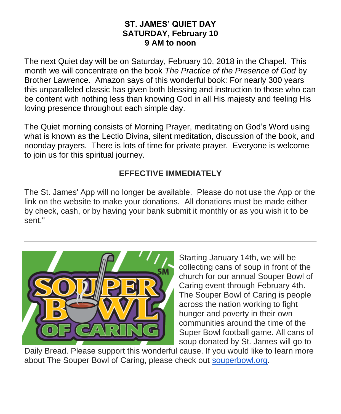#### **ST. JAMES' QUIET DAY SATURDAY, February 10 9 AM to noon**

The next Quiet day will be on Saturday, February 10, 2018 in the Chapel. This month we will concentrate on the book *The Practice of the Presence of God* by Brother Lawrence. Amazon says of this wonderful book: For nearly 300 years this unparalleled classic has given both blessing and instruction to those who can be content with nothing less than knowing God in all His majesty and feeling His loving presence throughout each simple day.

The Quiet morning consists of Morning Prayer, meditating on God's Word using what is known as the Lectio Divina, silent meditation, discussion of the book, and noonday prayers. There is lots of time for private prayer. Everyone is welcome to join us for this spiritual journey.

## **EFFECTIVE IMMEDIATELY**

The St. James' App will no longer be available. Please do not use the App or the link on the website to make your donations. All donations must be made either by check, cash, or by having your bank submit it monthly or as you wish it to be sent."



Starting January 14th, we will be collecting cans of soup in front of the church for our annual Souper Bowl of Caring event through February 4th. The Souper Bowl of Caring is people across the nation working to fight hunger and poverty in their own communities around the time of the Super Bowl football game. All cans of soup donated by St. James will go to

Daily Bread. Please support this wonderful cause. If you would like to learn more about The Souper Bowl of Caring, please check out [souperbowl.org.](http://souperbowl.org/)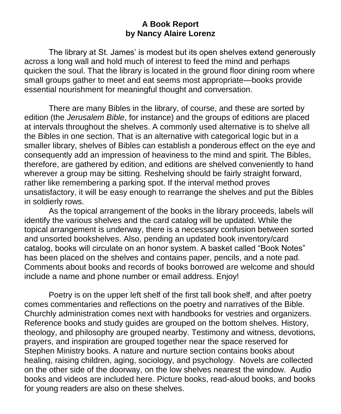#### **A Book Report by Nancy Alaire Lorenz**

The library at St. James' is modest but its open shelves extend generously across a long wall and hold much of interest to feed the mind and perhaps quicken the soul. That the library is located in the ground floor dining room where small groups gather to meet and eat seems most appropriate—books provide essential nourishment for meaningful thought and conversation.

There are many Bibles in the library, of course, and these are sorted by edition (the *Jerusalem Bible*, for instance) and the groups of editions are placed at intervals throughout the shelves. A commonly used alternative is to shelve all the Bibles in one section. That is an alternative with categorical logic but in a smaller library, shelves of Bibles can establish a ponderous effect on the eye and consequently add an impression of heaviness to the mind and spirit. The Bibles, therefore, are gathered by edition, and editions are shelved conveniently to hand wherever a group may be sitting. Reshelving should be fairly straight forward, rather like remembering a parking spot. If the interval method proves unsatisfactory, it will be easy enough to rearrange the shelves and put the Bibles in soldierly rows.

As the topical arrangement of the books in the library proceeds, labels will identify the various shelves and the card catalog will be updated. While the topical arrangement is underway, there is a necessary confusion between sorted and unsorted bookshelves. Also, pending an updated book inventory/card catalog, books will circulate on an honor system. A basket called "Book Notes" has been placed on the shelves and contains paper, pencils, and a note pad. Comments about books and records of books borrowed are welcome and should include a name and phone number or email address. Enjoy!

Poetry is on the upper left shelf of the first tall book shelf, and after poetry comes commentaries and reflections on the poetry and narratives of the Bible. Churchly administration comes next with handbooks for vestries and organizers. Reference books and study guides are grouped on the bottom shelves. History, theology, and philosophy are grouped nearby. Testimony and witness, devotions, prayers, and inspiration are grouped together near the space reserved for Stephen Ministry books. A nature and nurture section contains books about healing, raising children, aging, sociology, and psychology. Novels are collected on the other side of the doorway, on the low shelves nearest the window. Audio books and videos are included here. Picture books, read-aloud books, and books for young readers are also on these shelves.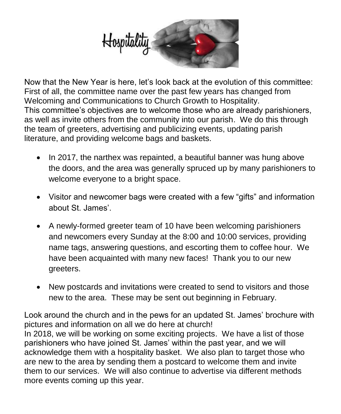

Now that the New Year is here, let's look back at the evolution of this committee: First of all, the committee name over the past few years has changed from Welcoming and Communications to Church Growth to Hospitality. This committee's objectives are to welcome those who are already parishioners, as well as invite others from the community into our parish. We do this through the team of greeters, advertising and publicizing events, updating parish literature, and providing welcome bags and baskets.

- In 2017, the narthex was repainted, a beautiful banner was hung above the doors, and the area was generally spruced up by many parishioners to welcome everyone to a bright space.
- Visitor and newcomer bags were created with a few "gifts" and information about St. James'.
- A newly-formed greeter team of 10 have been welcoming parishioners and newcomers every Sunday at the 8:00 and 10:00 services, providing name tags, answering questions, and escorting them to coffee hour. We have been acquainted with many new faces! Thank you to our new greeters.
- New postcards and invitations were created to send to visitors and those new to the area. These may be sent out beginning in February.

Look around the church and in the pews for an updated St. James' brochure with pictures and information on all we do here at church! In 2018, we will be working on some exciting projects. We have a list of those parishioners who have joined St. James' within the past year, and we will acknowledge them with a hospitality basket. We also plan to target those who are new to the area by sending them a postcard to welcome them and invite them to our services. We will also continue to advertise via different methods more events coming up this year.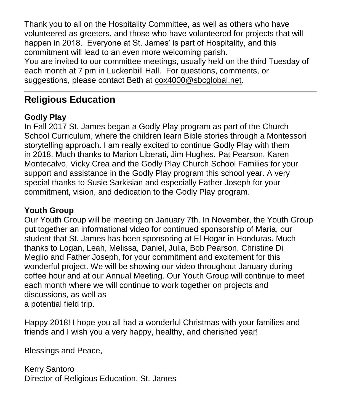Thank you to all on the Hospitality Committee, as well as others who have volunteered as greeters, and those who have volunteered for projects that will happen in 2018. Everyone at St. James' is part of Hospitality, and this commitment will lead to an even more welcoming parish.

You are invited to our committee meetings, usually held on the third Tuesday of each month at 7 pm in Luckenbill Hall. For questions, comments, or suggestions, please contact Beth at [cox4000@sbcglobal.net.](mailto:cox4000@sbcglobal.net)

# **Religious Education**

## **Godly Play**

In Fall 2017 St. James began a Godly Play program as part of the Church School Curriculum, where the children learn Bible stories through a Montessori storytelling approach. I am really excited to continue Godly Play with them in 2018. Much thanks to Marion Liberati, Jim Hughes, Pat Pearson, Karen Montecalvo, Vicky Crea and the Godly Play Church School Families for your support and assistance in the Godly Play program this school year. A very special thanks to Susie Sarkisian and especially Father Joseph for your commitment, vision, and dedication to the Godly Play program.

# **Youth Group**

Our Youth Group will be meeting on January 7th. In November, the Youth Group put together an informational video for continued sponsorship of Maria, our student that St. James has been sponsoring at El Hogar in Honduras. Much thanks to Logan, Leah, Melissa, Daniel, Julia, Bob Pearson, Christine Di Meglio and Father Joseph, for your commitment and excitement for this wonderful project. We will be showing our video throughout January during coffee hour and at our Annual Meeting. Our Youth Group will continue to meet each month where we will continue to work together on projects and discussions, as well as a potential field trip.

Happy 2018! I hope you all had a wonderful Christmas with your families and friends and I wish you a very happy, healthy, and cherished year!

Blessings and Peace,

Kerry Santoro Director of Religious Education, St. James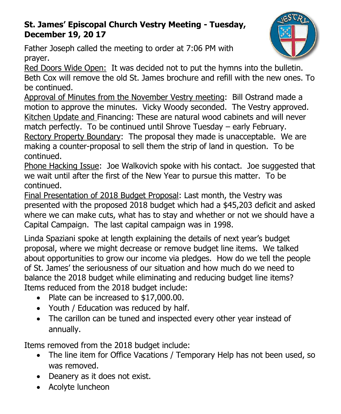# **St. James' Episcopal Church Vestry Meeting - Tuesday, December 19, 20 17**

Father Joseph called the meeting to order at 7:06 PM with prayer.

Red Doors Wide Open: It was decided not to put the hymns into the bulletin. Beth Cox will remove the old St. James brochure and refill with the new ones. To be continued.

Approval of Minutes from the November Vestry meeting: Bill Ostrand made a motion to approve the minutes. Vicky Woody seconded. The Vestry approved. Kitchen Update and Financing: These are natural wood cabinets and will never match perfectly. To be continued until Shrove Tuesday – early February. Rectory Property Boundary: The proposal they made is unacceptable. We are making a counter-proposal to sell them the strip of land in question. To be continued.

Phone Hacking Issue: Joe Walkovich spoke with his contact. Joe suggested that we wait until after the first of the New Year to pursue this matter. To be continued.

Final Presentation of 2018 Budget Proposal: Last month, the Vestry was presented with the proposed 2018 budget which had a \$45,203 deficit and asked where we can make cuts, what has to stay and whether or not we should have a Capital Campaign. The last capital campaign was in 1998.

Linda Spaziani spoke at length explaining the details of next year's budget proposal, where we might decrease or remove budget line items. We talked about opportunities to grow our income via pledges. How do we tell the people of St. James' the seriousness of our situation and how much do we need to balance the 2018 budget while eliminating and reducing budget line items? Items reduced from the 2018 budget include:

- Plate can be increased to \$17,000.00.
- Youth / Education was reduced by half.
- The carillon can be tuned and inspected every other year instead of annually.

Items removed from the 2018 budget include:

- The line item for Office Vacations / Temporary Help has not been used, so was removed.
- Deanery as it does not exist.
- Acolyte luncheon

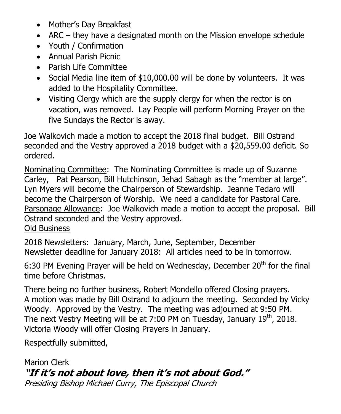- Mother's Day Breakfast
- ARC they have a designated month on the Mission envelope schedule
- Youth / Confirmation
- Annual Parish Picnic
- Parish Life Committee
- Social Media line item of \$10,000.00 will be done by volunteers. It was added to the Hospitality Committee.
- Visiting Clergy which are the supply clergy for when the rector is on vacation, was removed. Lay People will perform Morning Prayer on the five Sundays the Rector is away.

Joe Walkovich made a motion to accept the 2018 final budget. Bill Ostrand seconded and the Vestry approved a 2018 budget with a \$20,559.00 deficit. So ordered.

Nominating Committee: The Nominating Committee is made up of Suzanne Carley, Pat Pearson, Bill Hutchinson, Jehad Sabagh as the "member at large". Lyn Myers will become the Chairperson of Stewardship. Jeanne Tedaro will become the Chairperson of Worship. We need a candidate for Pastoral Care. Parsonage Allowance: Joe Walkovich made a motion to accept the proposal. Bill Ostrand seconded and the Vestry approved. Old Business

2018 Newsletters: January, March, June, September, December Newsletter deadline for January 2018: All articles need to be in tomorrow.

6:30 PM Evening Prayer will be held on Wednesday, December  $20<sup>th</sup>$  for the final time before Christmas.

There being no further business, Robert Mondello offered Closing prayers. A motion was made by Bill Ostrand to adjourn the meeting. Seconded by Vicky Woody. Approved by the Vestry. The meeting was adjourned at 9:50 PM. The next Vestry Meeting will be at 7:00 PM on Tuesday, January 19<sup>th</sup>, 2018. Victoria Woody will offer Closing Prayers in January.

Respectfully submitted,

Marion Clerk **"If it's not about love, then it's not about God."** Presiding Bishop Michael Curry, The Episcopal Church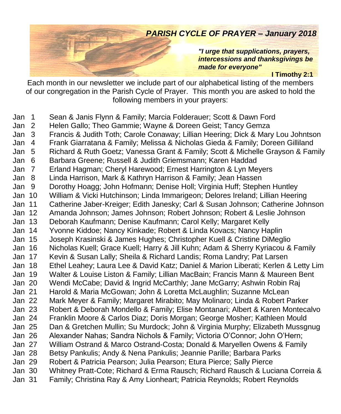# *PARISH CYCLE OF PRAYER – January 2018*

*"I urge that supplications, prayers, intercessions and thanksgivings be made for everyone"*

#### **I Timothy 2:1**

Each month in our newsletter we include part of our alphabetical listing of the members of our congregation in the Parish Cycle of Prayer. This month you are asked to hold the following members in your prayers:

Jan 1 Sean & Janis Flynn & Family; Marcia Folderauer; Scott & Dawn Ford Jan 2 Helen Gallo; Theo Gammie; Wayne & Doreen Geist; Tancy Gemza Jan 3 Francis & Judith Toth; Carole Conaway; Lillian Heering; Dick & Mary Lou Johntson Jan 4 Frank Giarratana & Family; Melissa & Nicholas Gieda & Family; Doreen Gilliland Jan 5 Richard & Ruth Goetz; Vanessa Grant & Family; Scott & Michelle Grayson & Family Jan 6 Barbara Greene; Russell & Judith Griemsmann; Karen Haddad Jan 7 Erland Hagman; Cheryl Harewood; Ernest Harrington & Lyn Meyers Jan 8 Linda Harrison, Mark & Kathryn Harrison & Family; Jean Hassen Jan 9 Dorothy Hoagg; John Hofmann; Denise Holl; Virginia Huff; Stephen Huntley Jan 10 William & Vicki Hutchinson; Linda Immarigeon; Delores Ireland; Lillian Heering Jan 11 Catherine Jaber-Kreiger; Edith Janesky; Carl & Susan Johnson; Catherine Johnson Jan 12 Amanda Johnson; James Johnson; Robert Johnson; Robert & Leslie Johnson Jan 13 Deborah Kaufmann; Denise Kaufmann; Carol Kelly; Margaret Kelly Jan 14 Yvonne Kiddoe; Nancy Kinkade; Robert & Linda Kovacs; Nancy Haplin Jan 15 Joseph Krasinski & James Hughes; Christopher Kuell & Cristine DiMeglio Jan 16 Nicholas Kuell; Grace Kuell; Harry & Jill Kuhn; Adam & Sherry Kyriacou & Family Jan 17 Kevin & Susan Lally; Sheila & Richard Landis; Roma Landry; Pat Larsen Jan 18 Ethel Leahey; Laura Lee & David Katz; Daniel & Marion Liberati; Kerlen & Letty Lim Jan 19 Walter & Louise Liston & Family; Lillian MacBain; Francis Mann & Maureen Bent Jan 20 Wendi McCabe; David & Ingrid McCarthly; Jane McGarry; Ashwin Robin Raj Jan 21 Harold & Maria McGowan; John & Loretta McLaughlin; Suzanne McLean Jan 22 Mark Meyer & Family; Margaret Mirabito; May Molinaro; Linda & Robert Parker Jan 23 Robert & Deborah Mondello & Family; Elise Montanari; Albert & Karen Montecalvo Jan 24 Franklin Moore & Carlos Diaz; Doris Morgan; George Mosher; Kathleen Mould Jan 25 Dan & Gretchen Mullin; Su Murdock; John & Virginia Murphy; Elizabeth Mussgnug Jan 26 Alexander Nahas; Sandra Nichols & Family; Victoria O'Connor; John O'Hern; Jan 27 William Ostrand & Marco Ostrand-Costa; Donald & Maryellen Owens & Family Jan 28 Betsy Pankulis; Andy & Nena Pankulis; Jeannie Parille; Barbara Parks Jan 29 Robert & Patricia Pearson; Julia Pearson; Etura Pierce; Sally Pierce Jan 30 Whitney Pratt-Cote; Richard & Erma Rausch; Richard Rausch & Luciana Correia & Jan 31 Family; Christina Ray & Amy Lionheart; Patricia Reynolds; Robert Reynolds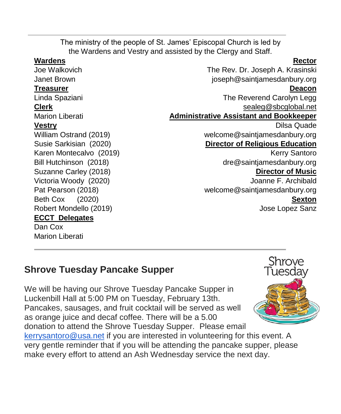The ministry of the people of St. James' Episcopal Church is led by the Wardens and Vestry and assisted by the Clergy and Staff. **Wardens Rector** Joe Walkovich The Rev. Dr. Joseph A. Krasinski Janet Brown [joseph@saintjamesdanbury.org](mailto:joseph@saintjamesdanbury.org) **Treasurer Deacon** Linda Spaziani The Reverend Carolyn Legg **Clerk** [sealeg@sbcglobal.net](mailto:sealeg@sbcglobal.net) Marion Liberati **Administrative Assistant and Bookkeeper Vestry** Dilsa Quade William Ostrand (2019) welcom[e@saintjamesdanbury.org](mailto:usanne@saintjamesdanbury.org) Susie Sarkisian (2020) **Director of Religious Education** Karen Montecalvo (2019) Kerry Santoro Bill Hutchinson (2018) dre@saintjamesdanbury.org Suzanne Carley (2018) **Director of Music** Victoria Woody (2020) Joanne F. Archibald Pat Pearson (2018) welcom[e@saintjamesdanbury.org](mailto:usanne@saintjamesdanbury.org) Beth Cox (2020) **Sexton** Robert Mondello (2019) Jose Lopez Sanz **ECCT Delegates** Dan Cox

# **Shrove Tuesday Pancake Supper**

Marion Liberati

We will be having our Shrove Tuesday Pancake Supper in Luckenbill Hall at 5:00 PM on Tuesday, February 13th. Pancakes, sausages, and fruit cocktail will be served as well as orange juice and decaf coffee. There will be a 5.00 donation to attend the Shrove Tuesday Supper. Please email [kerrysantoro@usa.net](mailto:kerrysantoro@usa.net) if you are interested in volunteering for this event. A very gentle reminder that if you will be attending the pancake supper, please make every effort to attend an Ash Wednesday service the next day.